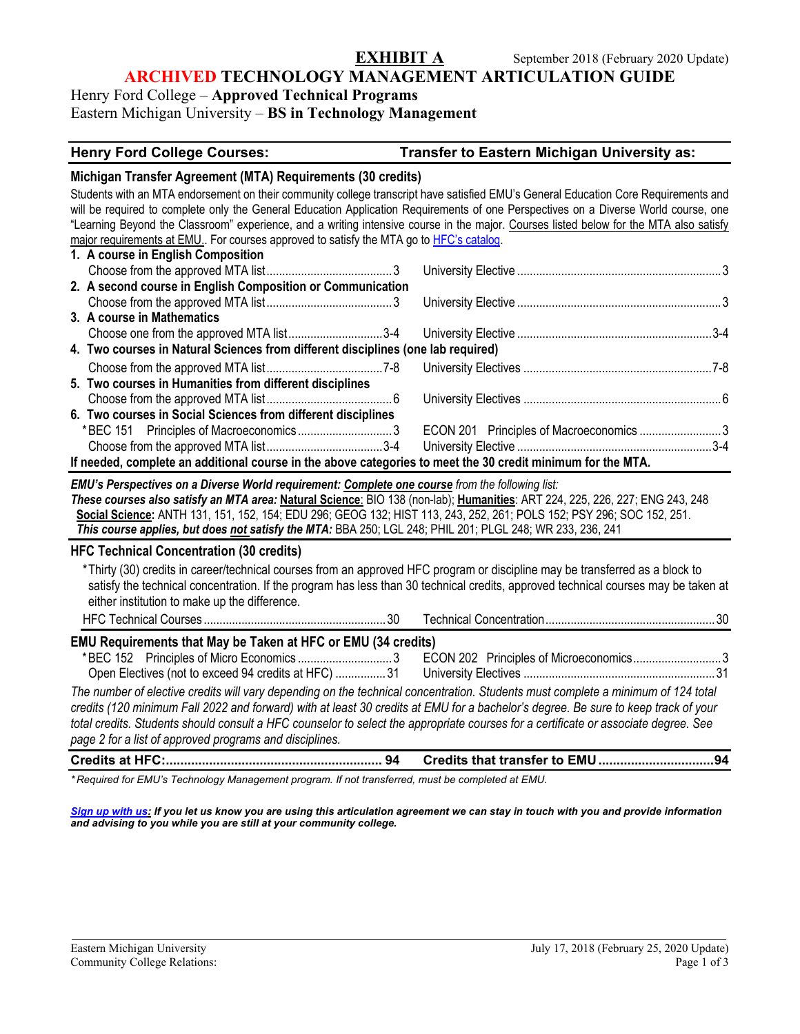# **ARCHIVED TECHNOLOGY MANAGEMENT ARTICULATION GUIDE**

Henry Ford College – **Approved Technical Programs** Eastern Michigan University – **BS in Technology Management**

#### **Henry Ford College Courses: Transfer to Eastern Michigan University as:**

#### **Michigan Transfer Agreement (MTA) Requirements (30 credits)**

Students with an MTA endorsement on their community college transcript have satisfied EMU's General Education Core Requirements and will be required to complete only the General Education Application Requirements of one Perspectives on a Diverse World course, one "Learning Beyond the Classroom" experience, and a writing intensive course in the major. Courses listed below for the MTA also satisfy major requirements at EMU.. For courses approved to satisfy the MTA go t[o HFC's catalog.](https://catalog.hfcc.edu/degrees/gen-ed)

|                                                                                                             | 1. A course in English Composition                                               |  |  |  |
|-------------------------------------------------------------------------------------------------------------|----------------------------------------------------------------------------------|--|--|--|
|                                                                                                             |                                                                                  |  |  |  |
|                                                                                                             | 2. A second course in English Composition or Communication                       |  |  |  |
|                                                                                                             |                                                                                  |  |  |  |
|                                                                                                             | 3. A course in Mathematics                                                       |  |  |  |
|                                                                                                             |                                                                                  |  |  |  |
|                                                                                                             | 4. Two courses in Natural Sciences from different disciplines (one lab required) |  |  |  |
|                                                                                                             |                                                                                  |  |  |  |
|                                                                                                             | 5. Two courses in Humanities from different disciplines                          |  |  |  |
|                                                                                                             |                                                                                  |  |  |  |
|                                                                                                             | 6. Two courses in Social Sciences from different disciplines                     |  |  |  |
|                                                                                                             |                                                                                  |  |  |  |
|                                                                                                             |                                                                                  |  |  |  |
| If needed, complete an additional course in the above categories to meet the 30 credit minimum for the MTA. |                                                                                  |  |  |  |

*EMU's Perspectives on a Diverse World requirement: Complete one course from the following list: These courses also satisfy an MTA area:* **Natural Science**: BIO 138 (non-lab); **Humanities**: ART 224, 225, 226, 227; ENG 243, 248 **Social Science:** ANTH 131, 151, 152, 154; EDU 296; GEOG 132; HIST 113, 243, 252, 261; POLS 152; PSY 296; SOC 152, 251. *This course applies, but does not satisfy the MTA:* BBA 250; LGL 248; PHIL 201; PLGL 248; WR 233, 236, 241

#### **HFC Technical Concentration (30 credits)**

\*Thirty (30) credits in career/technical courses from an approved HFC program or discipline may be transferred as a block to satisfy the technical concentration. If the program has less than 30 technical credits, approved technical courses may be taken at either institution to make up the difference.

#### HFC Technical Courses ..........................................................30 Technical Concentration......................................................30 **EMU Requirements that May be Taken at HFC or EMU (34 credits)** \*BEC 152 Principles of Micro Economics ..............................3 ECON 202 Principles of Microeconomics............................3 Open Electives (not to exceed 94 credits at HFC) ................31 University Electives .............................................................31 *The number of elective credits will vary depending on the technical concentration. Students must complete a minimum of 124 total credits (120 minimum Fall 2022 and forward) with at least 30 credits at EMU for a bachelor's degree. Be sure to keep track of your total credits. Students should consult a HFC counselor to select the appropriate courses for a certificate or associate degree. See page 2 for a list of approved programs and disciplines.*

| $\mathcal{L}$ . The state $\mathcal{L}$ is the contract of the contract of the contract of the contract of the contract of the contract of the contract of the contract of the contract of the contract of the contract of the contract |  |  |
|-----------------------------------------------------------------------------------------------------------------------------------------------------------------------------------------------------------------------------------------|--|--|

*\* Required for EMU's Technology Management program. If not transferred, must be completed at EMU.*

*[Sign up with us:](http://www.emich.edu/ccr/articulation-agreements/signup.php) If you let us know you are using this articulation agreement we can stay in touch with you and provide information and advising to you while you are still at your community college.*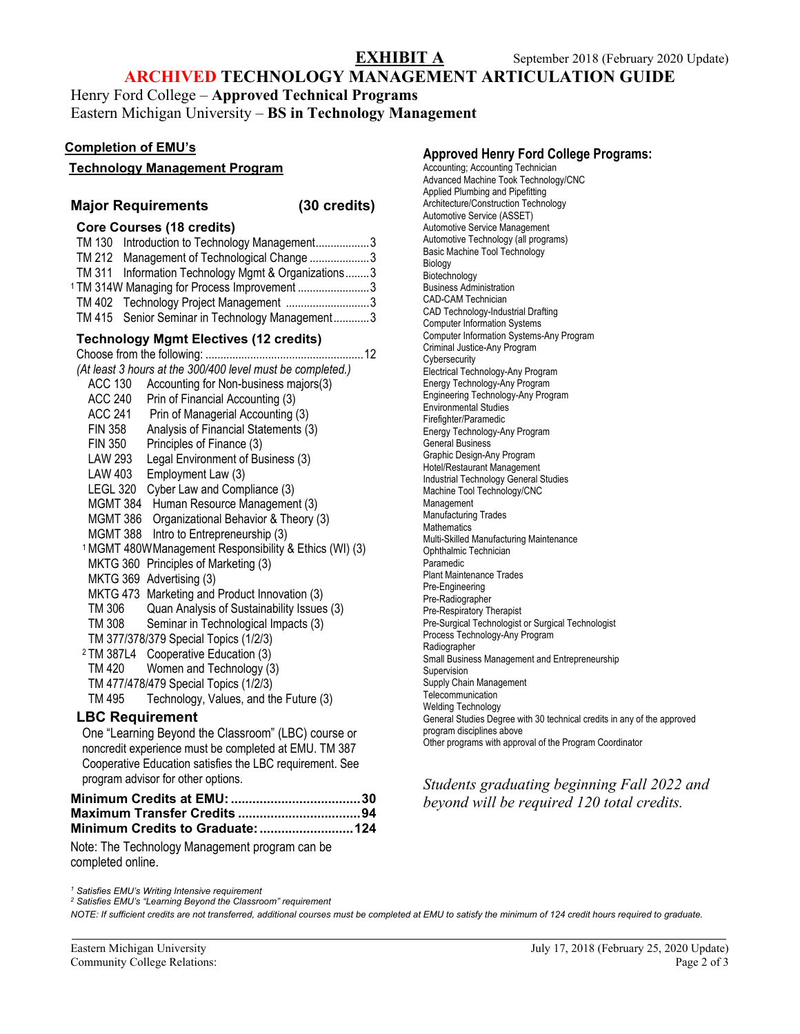# **ARCHIVED TECHNOLOGY MANAGEMENT ARTICULATION GUIDE**

Henry Ford College – **Approved Technical Programs** Eastern Michigan University – **BS in Technology Management**

#### **Completion of EMU's**

| ט שווואיטוויטו בוווט ט                                             | <b>Approved Henry Ford College Programs:</b>                            |
|--------------------------------------------------------------------|-------------------------------------------------------------------------|
| <b>Technology Management Program</b>                               | Accounting; Accounting Technician                                       |
|                                                                    | Advanced Machine Took Technology/CNC                                    |
|                                                                    | Applied Plumbing and Pipefitting                                        |
| <b>Major Requirements</b><br>(30 credits)                          | Architecture/Construction Technology                                    |
|                                                                    | Automotive Service (ASSET)                                              |
| <b>Core Courses (18 credits)</b>                                   | Automotive Service Management                                           |
| TM 130 Introduction to Technology Management3                      | Automotive Technology (all programs)                                    |
| TM 212 Management of Technological Change 3                        | Basic Machine Tool Technology<br>Biology                                |
| TM 311 Information Technology Mgmt & Organizations3                | Biotechnology                                                           |
| <sup>1</sup> TM 314W Managing for Process Improvement 3            | <b>Business Administration</b>                                          |
| TM 402 Technology Project Management 3                             | <b>CAD-CAM Technician</b>                                               |
|                                                                    | CAD Technology-Industrial Drafting                                      |
| TM 415 Senior Seminar in Technology Management3                    | <b>Computer Information Systems</b>                                     |
| <b>Technology Mgmt Electives (12 credits)</b>                      | Computer Information Systems-Any Program                                |
|                                                                    | Criminal Justice-Any Program                                            |
| (At least 3 hours at the 300/400 level must be completed.)         | Cybersecurity                                                           |
|                                                                    | Electrical Technology-Any Program                                       |
| <b>ACC 130</b><br>Accounting for Non-business majors(3)            | Energy Technology-Any Program                                           |
| <b>ACC 240</b><br>Prin of Financial Accounting (3)                 | Engineering Technology-Any Program<br><b>Environmental Studies</b>      |
| <b>ACC 241</b><br>Prin of Managerial Accounting (3)                | Firefighter/Paramedic                                                   |
| <b>FIN 358</b><br>Analysis of Financial Statements (3)             | Energy Technology-Any Program                                           |
| <b>FIN 350</b><br>Principles of Finance (3)                        | <b>General Business</b>                                                 |
| <b>LAW 293</b><br>Legal Environment of Business (3)                | Graphic Design-Any Program                                              |
| LAW 403 Employment Law (3)                                         | Hotel/Restaurant Management                                             |
|                                                                    | <b>Industrial Technology General Studies</b>                            |
| LEGL 320 Cyber Law and Compliance (3)                              | Machine Tool Technology/CNC                                             |
| MGMT 384 Human Resource Management (3)                             | Management                                                              |
| MGMT 386 Organizational Behavior & Theory (3)                      | <b>Manufacturing Trades</b>                                             |
| MGMT 388 Intro to Entrepreneurship (3)                             | Mathematics<br>Multi-Skilled Manufacturing Maintenance                  |
| <sup>1</sup> MGMT 480W Management Responsibility & Ethics (WI) (3) | Ophthalmic Technician                                                   |
| MKTG 360 Principles of Marketing (3)                               | Paramedic                                                               |
| MKTG 369 Advertising (3)                                           | Plant Maintenance Trades                                                |
|                                                                    | Pre-Engineering                                                         |
| MKTG 473 Marketing and Product Innovation (3)                      | Pre-Radiographer                                                        |
| TM 306<br>Quan Analysis of Sustainability Issues (3)               | Pre-Respiratory Therapist                                               |
| TM 308<br>Seminar in Technological Impacts (3)                     | Pre-Surgical Technologist or Surgical Technologist                      |
| TM 377/378/379 Special Topics (1/2/3)                              | Process Technology-Any Program                                          |
| <sup>2</sup> TM 387L4 Cooperative Education (3)                    | Radiographer<br>Small Business Management and Entrepreneurship          |
| <b>TM 420</b><br>Women and Technology (3)                          | Supervision                                                             |
| TM 477/478/479 Special Topics (1/2/3)                              | Supply Chain Management                                                 |
| <b>TM 495</b><br>Technology, Values, and the Future (3)            | Telecommunication                                                       |
|                                                                    | <b>Welding Technology</b>                                               |
| <b>LBC Requirement</b>                                             | General Studies Degree with 30 technical credits in any of the approved |
| One "Learning Beyond the Classroom" (LBC) course or                | program disciplines above                                               |
| noncredit experience must be completed at EMU. TM 387              | Other programs with approval of the Program Coordinator                 |
| Cooperative Education satisfies the LBC requirement. See           |                                                                         |
| program advisor for other options.                                 |                                                                         |
|                                                                    | Students graduating beginning Fall 2022 and                             |
|                                                                    | beyond will be required 120 total credits.                              |
|                                                                    |                                                                         |
|                                                                    |                                                                         |

Note: The Technology Management program can be completed online.

*<sup>1</sup> Satisfies EMU's Writing Intensive requirement*

*<sup>2</sup> Satisfies EMU's "Learning Beyond the Classroom" requirement*

*NOTE: If sufficient credits are not transferred, additional courses must be completed at EMU to satisfy the minimum of 124 credit hours required to graduate.*

#### **Approved Henry Ford College Programs:** nting Technician